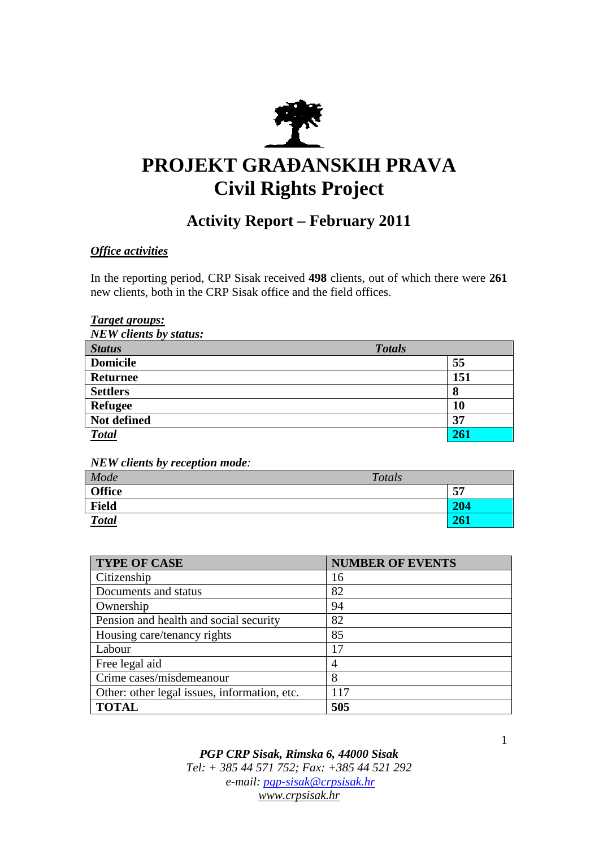

# **PROJEKT GRAĐANSKIH PRAVA Civil Rights Project**

# **Activity Report – February 2011**

# *Office activities*

In the reporting period, CRP Sisak received **498** clients, out of which there were **261**  new clients, both in the CRP Sisak office and the field offices.

## *Target groups:*

*NEW clients by status:* 

| <b>Status</b>   | <b>Totals</b> |
|-----------------|---------------|
| <b>Domicile</b> | 55            |
| <b>Returnee</b> | 151           |
| <b>Settlers</b> | 8             |
| <b>Refugee</b>  | 10            |
| Not defined     | 37            |
| <b>Total</b>    |               |

*NEW clients by reception mode:* 

| Mode          | Totals |     |
|---------------|--------|-----|
| <b>Office</b> |        | 57  |
| <b>Field</b>  |        | 204 |
| <b>Total</b>  |        | 261 |

| <b>TYPE OF CASE</b>                          | <b>NUMBER OF EVENTS</b> |
|----------------------------------------------|-------------------------|
| Citizenship                                  | 16                      |
| Documents and status                         | 82                      |
| Ownership                                    | 94                      |
| Pension and health and social security       | 82                      |
| Housing care/tenancy rights                  | 85                      |
| Labour                                       | 17                      |
| Free legal aid                               | 4                       |
| Crime cases/misdemeanour                     | 8                       |
| Other: other legal issues, information, etc. | 117                     |
| <b>TOTAL</b>                                 | 505                     |

*PGP CRP Sisak, Rimska 6, 44000 Sisak Tel: + 385 44 571 752; Fax: +385 44 521 292 e-mail: pgp-sisak@crpsisak.hr www.crpsisak.hr*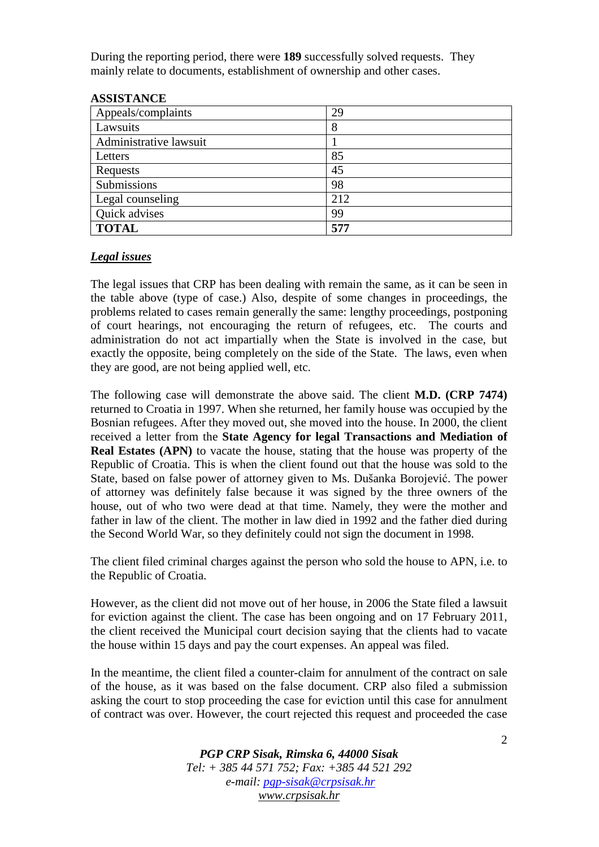During the reporting period, there were **189** successfully solved requests. They mainly relate to documents, establishment of ownership and other cases.

| Appeals/complaints     | 29  |
|------------------------|-----|
| Lawsuits               | 8   |
| Administrative lawsuit |     |
| Letters                | 85  |
| Requests               | 45  |
| Submissions            | 98  |
| Legal counseling       | 212 |
| Quick advises          | 99  |
| <b>TOTAL</b>           | 577 |

#### **ASSISTANCE**

#### *Legal issues*

The legal issues that CRP has been dealing with remain the same, as it can be seen in the table above (type of case.) Also, despite of some changes in proceedings, the problems related to cases remain generally the same: lengthy proceedings, postponing of court hearings, not encouraging the return of refugees, etc. The courts and administration do not act impartially when the State is involved in the case, but exactly the opposite, being completely on the side of the State. The laws, even when they are good, are not being applied well, etc.

The following case will demonstrate the above said. The client **M.D. (CRP 7474)** returned to Croatia in 1997. When she returned, her family house was occupied by the Bosnian refugees. After they moved out, she moved into the house. In 2000, the client received a letter from the **State Agency for legal Transactions and Mediation of Real Estates (APN)** to vacate the house, stating that the house was property of the Republic of Croatia. This is when the client found out that the house was sold to the State, based on false power of attorney given to Ms. Dušanka Borojević. The power of attorney was definitely false because it was signed by the three owners of the house, out of who two were dead at that time. Namely, they were the mother and father in law of the client. The mother in law died in 1992 and the father died during the Second World War, so they definitely could not sign the document in 1998.

The client filed criminal charges against the person who sold the house to APN, i.e. to the Republic of Croatia.

However, as the client did not move out of her house, in 2006 the State filed a lawsuit for eviction against the client. The case has been ongoing and on 17 February 2011, the client received the Municipal court decision saying that the clients had to vacate the house within 15 days and pay the court expenses. An appeal was filed.

In the meantime, the client filed a counter-claim for annulment of the contract on sale of the house, as it was based on the false document. CRP also filed a submission asking the court to stop proceeding the case for eviction until this case for annulment of contract was over. However, the court rejected this request and proceeded the case

> *PGP CRP Sisak, Rimska 6, 44000 Sisak Tel: + 385 44 571 752; Fax: +385 44 521 292 e-mail: pgp-sisak@crpsisak.hr www.crpsisak.hr*